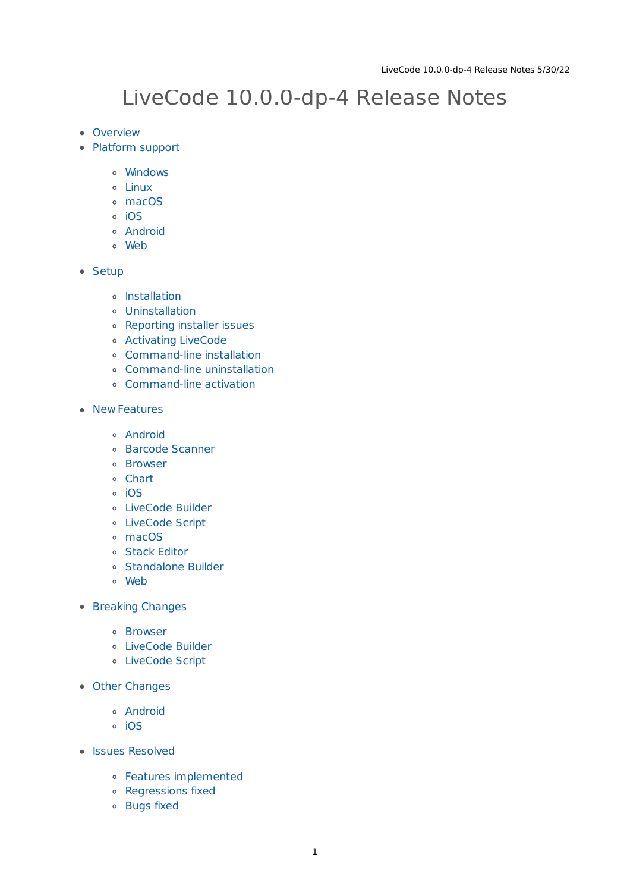# LiveCode 10.0.0-dp-4 Release Notes

- [Overview](#page-1-0)
- [Platform](#page-1-1) support
	- [Windows](#page-1-2)
	- [Linux](#page-1-3)
	- [macOS](#page-2-0)
	- $\circ$  [iOS](#page-2-1)
	- [Android](#page-3-0)
	- [Web](#page-3-1)
- [Setup](#page-4-0)
	- [Installation](#page-4-1)
	- [Uninstallation](#page-4-2)
	- [Reporting](#page-4-3) installer issues
	- [Activating](#page-5-0) LiveCode
	- [Command-line](#page-5-1) installation
	- [Command-line](#page-6-0) uninstallation
	- [Command-line](#page-6-1) activation
- New [Features](#page-7-0)
	- [Android](#page-3-0)
	- Barcode [Scanner](#page-7-1)
	- [Browser](#page-7-2)
	- [Chart](#page-8-0)
	- <sup>o</sup> [iOS](#page-2-1)
	- [LiveCode](#page-9-0) Builder
	- [LiveCode](#page-11-0) Script
	- [macOS](#page-2-0)
	- o Stack [Editor](#page-15-0)
	- [Standalone](#page-15-1) Builder
	- [Web](#page-3-1)
- **[Breaking](#page-17-0) Changes** 
	- [Browser](#page-7-2)
	- [LiveCode](#page-9-0) Builder
	- [LiveCode](#page-11-0) Script
- Other [Changes](#page-19-0)
	- [Android](#page-3-0)
	- [iOS](#page-2-1)
- **•** Issues [Resolved](#page-19-1)
	- Features [implemented](#page-19-2)
	- [Regressions](#page-20-0) fixed
	- [Bugs](#page-21-0) fixed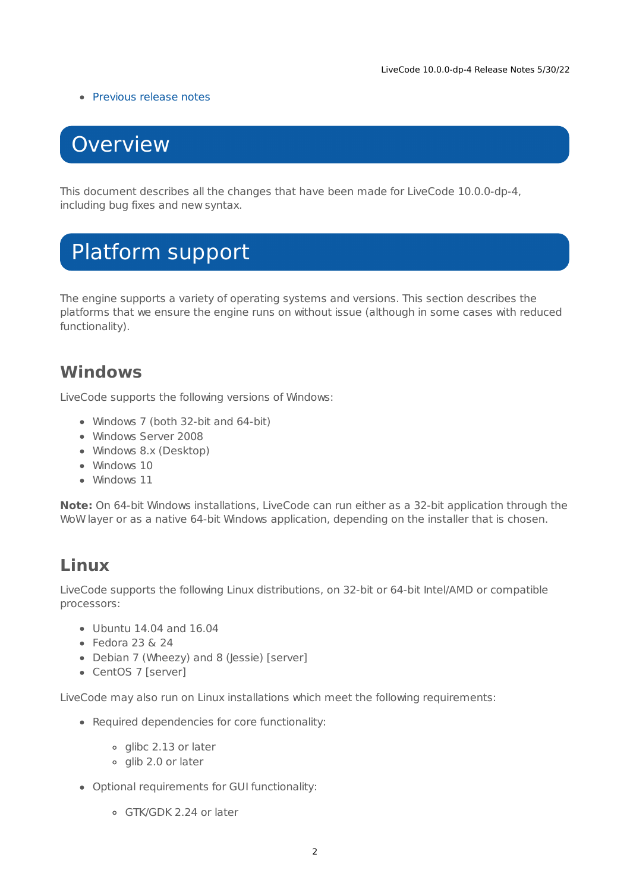### • [Previous](#page-23-0) release notes

# <span id="page-1-0"></span>**Overview**

This document describes all the changes that have been made for LiveCode 10.0.0-dp-4, including bug fixes and new syntax.

# <span id="page-1-1"></span>Platform support

The engine supports a variety of operating systems and versions. This section describes the platforms that we ensure the engine runs on without issue (although in some cases with reduced functionality).

## <span id="page-1-2"></span>**Windows**

LiveCode supports the following versions of Windows:

- Windows 7 (both 32-bit and 64-bit)
- Windows Server 2008
- Windows 8.x (Desktop)
- Windows 10
- Windows 11

**Note:** On 64-bit Windows installations, LiveCode can run either as a 32-bit application through the WoW layer or as a native 64-bit Windows application, depending on the installer that is chosen.

## <span id="page-1-3"></span>**Linux**

LiveCode supports the following Linux distributions, on 32-bit or 64-bit Intel/AMD or compatible processors:

- Ubuntu 14.04 and 16.04
- $\bullet$  Fedora 23 & 24
- Debian 7 (Wheezy) and 8 (Jessie) [server]
- CentOS 7 [server]

LiveCode may also run on Linux installations which meet the following requirements:

- Required dependencies for core functionality:
	- glibc 2.13 or later
	- o glib 2.0 or later
- Optional requirements for GUI functionality:
	- GTK/GDK 2.24 or later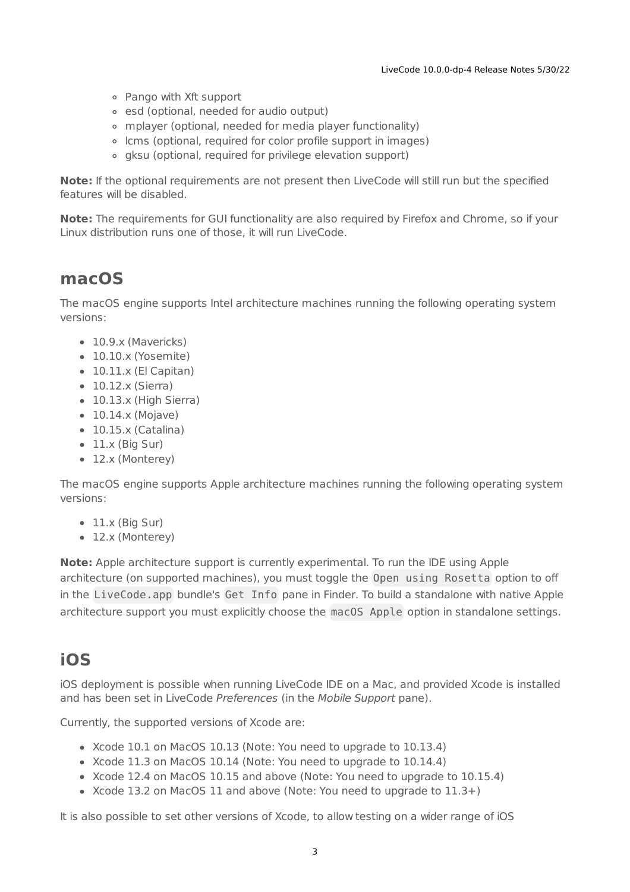- Pango with Xft support
- esd (optional, needed for audio output)
- mplayer (optional, needed for media player functionality)
- lcms (optional, required for color profile support in images)
- gksu (optional, required for privilege elevation support)

**Note:** If the optional requirements are not present then LiveCode will still run but the specified features will be disabled.

**Note:** The requirements for GUI functionality are also required by Firefox and Chrome, so if your Linux distribution runs one of those, it will run LiveCode.

## <span id="page-2-0"></span>**macOS**

The macOS engine supports Intel architecture machines running the following operating system versions:

- 10.9.x (Mavericks)
- 10.10.x (Yosemite)
- $\bullet$  10.11.x (El Capitan)
- $\bullet$  10.12.x (Sierra)
- 10.13.x (High Sierra)
- $\bullet$  10.14.x (Mojave)
- $\bullet$  10.15.x (Catalina)
- $\bullet$  11.x (Big Sur)
- 12.x (Monterey)

The macOS engine supports Apple architecture machines running the following operating system versions:

- $\bullet$  11. $\times$  (Big Sur)
- 12.x (Monterey)

**Note:** Apple architecture support is currently experimental. To run the IDE using Apple architecture (on supported machines), you must toggle the Open using Rosetta option to off in the LiveCode.app bundle's Get Info pane in Finder. To build a standalone with native Apple architecture support you must explicitly choose the macOS Apple option in standalone settings.

## <span id="page-2-1"></span>**iOS**

iOS deployment is possible when running LiveCode IDE on a Mac, and provided Xcode is installed and has been set in LiveCode Preferences (in the Mobile Support pane).

Currently, the supported versions of Xcode are:

- Xcode 10.1 on MacOS 10.13 (Note: You need to upgrade to 10.13.4)
- Xcode 11.3 on MacOS 10.14 (Note: You need to upgrade to 10.14.4)
- Xcode 12.4 on MacOS 10.15 and above (Note: You need to upgrade to 10.15.4)
- $\bullet$  Xcode 13.2 on MacOS 11 and above (Note: You need to upgrade to  $11.3+)$

It is also possible to set other versions of Xcode, to allow testing on a wider range of iOS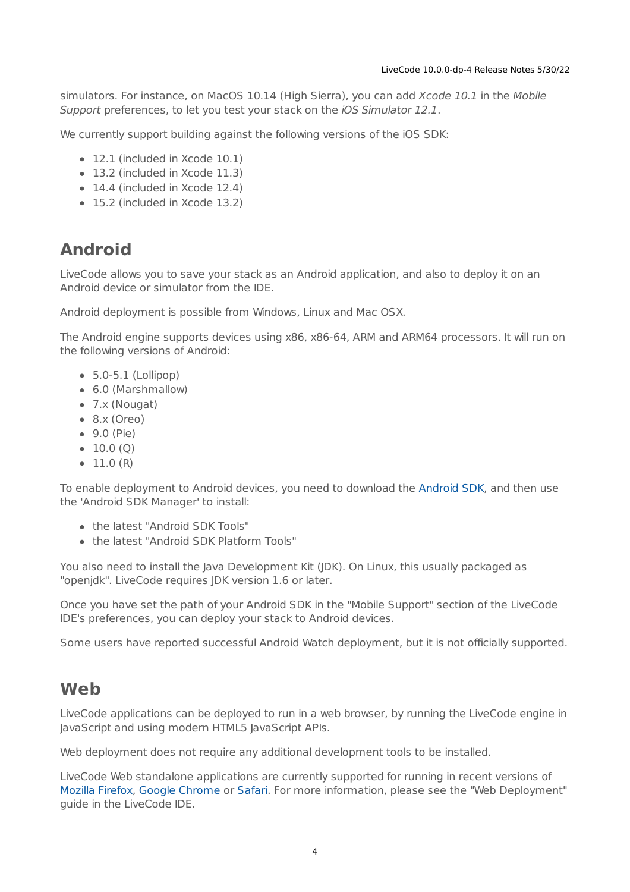simulators. For instance, on MacOS 10.14 (High Sierra), you can add Xcode 10.1 in the Mobile Support preferences, to let you test your stack on the iOS Simulator 12.1.

We currently support building against the following versions of the iOS SDK:

- 12.1 (included in Xcode 10.1)
- 13.2 (included in Xcode 11.3)
- 14.4 (included in Xcode 12.4)
- 15.2 (included in Xcode 13.2)

## <span id="page-3-0"></span>**Android**

LiveCode allows you to save your stack as an Android application, and also to deploy it on an Android device or simulator from the IDE.

Android deployment is possible from Windows, Linux and Mac OSX.

The Android engine supports devices using x86, x86-64, ARM and ARM64 processors. It will run on the following versions of Android:

- $\bullet$  5.0-5.1 (Lollipop)
- 6.0 (Marshmallow)
- 7.x (Nougat)
- $\bullet$  8.x (Oreo)
- 9.0 (Pie)
- $\bullet$  10.0 (Q)
- $\bullet$  11.0 (R)

To enable deployment to Android devices, you need to download the [Android](https://developer.android.com/sdk/index.html#Other) SDK, and then use the 'Android SDK Manager' to install:

- the latest "Android SDK Tools"
- the latest "Android SDK Platform Tools"

You also need to install the Java Development Kit (JDK). On Linux, this usually packaged as "openjdk". LiveCode requires JDK version 1.6 or later.

Once you have set the path of your Android SDK in the "Mobile Support" section of the LiveCode IDE's preferences, you can deploy your stack to Android devices.

Some users have reported successful Android Watch deployment, but it is not officially supported.

## <span id="page-3-1"></span>**Web**

LiveCode applications can be deployed to run in a web browser, by running the LiveCode engine in JavaScript and using modern HTML5 JavaScript APIs.

Web deployment does not require any additional development tools to be installed.

LiveCode Web standalone applications are currently supported for running in recent versions of [Mozilla](https://www.mozilla.org/firefox/new/) Firefox, Google [Chrome](https://www.google.com/chrome/) or [Safari](https://support.apple.com/HT204416). For more information, please see the "Web Deployment" guide in the LiveCode IDE.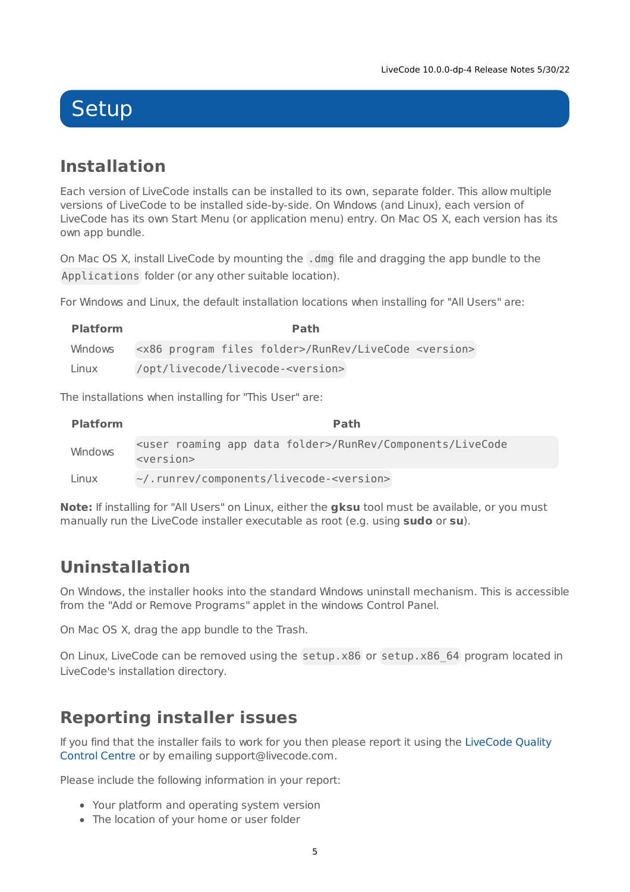# <span id="page-4-0"></span>**Setup**

## <span id="page-4-1"></span>**Installation**

Each version of LiveCode installs can be installed to its own, separate folder. This allow multiple versions of LiveCode to be installed side-by-side. On Windows (and Linux), each version of LiveCode has its own Start Menu (or application menu) entry. On Mac OS X, each version has its own app bundle.

On Mac OS X, install LiveCode by mounting the .dmg file and dragging the app bundle to the Applications folder (or any other suitable location).

For Windows and Linux, the default installation locations when installing for "All Users" are:

| <b>Platform</b> | Path                                                                                  |
|-----------------|---------------------------------------------------------------------------------------|
|                 | Windows <x86 files="" folder="" program="">/RunRev/LiveCode <version></version></x86> |
| Linux           | /opt/livecode/livecode- <version></version>                                           |

The installations when installing for "This User" are:

| <b>Platform</b> | <b>Path</b>                                                                                                                |
|-----------------|----------------------------------------------------------------------------------------------------------------------------|
| Windows         | <user app="" data="" folder="" roaming="">/RunRev/Components/LiveCode<br/><math>&lt;</math>version<math>&gt;</math></user> |
| Linux           | ~/.runrev/components/livecode- <version></version>                                                                         |

**Note:** If installing for "All Users" on Linux, either the **gksu** tool must be available, or you must manually run the LiveCode installer executable as root (e.g. using **sudo** or **su**).

## <span id="page-4-2"></span>**Uninstallation**

On Windows, the installer hooks into the standard Windows uninstall mechanism. This is accessible from the "Add or Remove Programs" applet in the windows Control Panel.

On Mac OS X, drag the app bundle to the Trash.

On Linux, LiveCode can be removed using the setup.x86 or setup.x86 64 program located in LiveCode's installation directory.

## <span id="page-4-3"></span>**Reporting installer issues**

If you find that the installer fails to work for you then please report it using the LiveCode Quality Control Centre or by emailing [support@livecode.com.](http://quality.livecode.com)

Please include the following information in your report:

- Your platform and operating system version
- The location of your home or user folder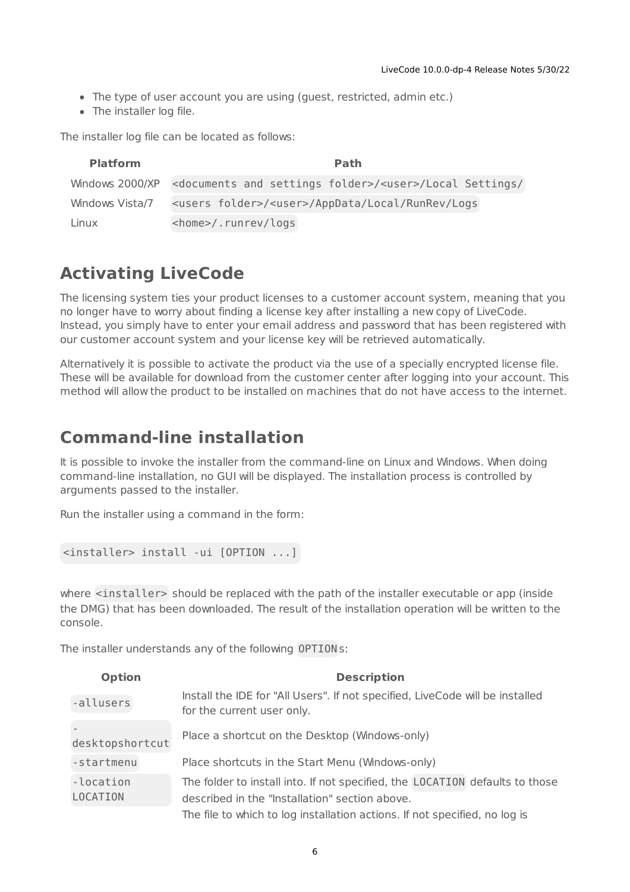- The type of user account you are using (guest, restricted, admin etc.)
- The installer log file.

The installer log file can be located as follows:

| <b>Platform</b> | Path                                                                                               |
|-----------------|----------------------------------------------------------------------------------------------------|
|                 | Windows 2000/XP <documents and="" folder="" settings="">/<user>/Local Settings/</user></documents> |
| Windows Vista/7 | <users folder="">/<user>/AppData/Local/RunRev/Logs</user></users>                                  |
| Linux           | <home>/.runrev/logs</home>                                                                         |

## <span id="page-5-0"></span>**Activating LiveCode**

The licensing system ties your product licenses to a customer account system, meaning that you no longer have to worry about finding a license key after installing a new copy of LiveCode. Instead, you simply have to enter your email address and password that has been registered with our customer account system and your license key will be retrieved automatically.

Alternatively it is possible to activate the product via the use of a specially encrypted license file. These will be available for download from the customer center after logging into your account. This method will allow the product to be installed on machines that do not have access to the internet.

### <span id="page-5-1"></span>**Command-line installation**

It is possible to invoke the installer from the command-line on Linux and Windows. When doing command-line installation, no GUI will be displayed. The installation process is controlled by arguments passed to the installer.

Run the installer using a command in the form:

```
<installer> install -ui [OPTION ...]
```
where <installer> should be replaced with the path of the installer executable or app (inside the DMG) that has been downloaded. The result of the installation operation will be written to the console.

The installer understands any of the following OPTION s:

| <b>Option</b>         | <b>Description</b>                                                                                                             |
|-----------------------|--------------------------------------------------------------------------------------------------------------------------------|
| -allusers             | Install the IDE for "All Users". If not specified, LiveCode will be installed<br>for the current user only.                    |
| desktopshortcut       | Place a shortcut on the Desktop (Windows-only)                                                                                 |
| -startmenu            | Place shortcuts in the Start Menu (Windows-only)                                                                               |
| -location<br>LOCATION | The folder to install into. If not specified, the LOCATION defaults to those<br>described in the "Installation" section above. |
|                       | The file to which to log installation actions. If not specified, no log is                                                     |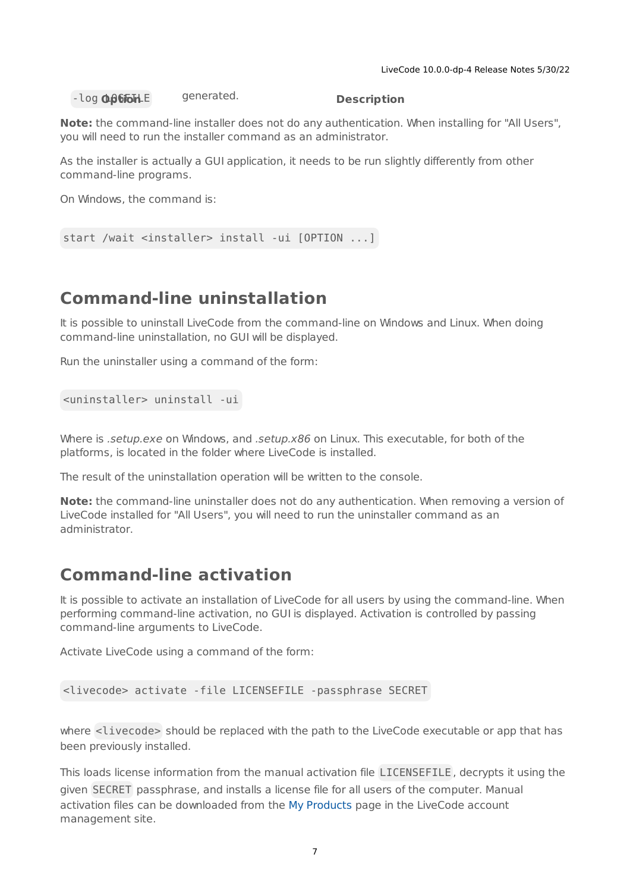$-$ log **O**p6FoHLE generated. **Description** 

**Note:** the command-line installer does not do any authentication. When installing for "All Users", you will need to run the installer command as an administrator.

As the installer is actually a GUI application, it needs to be run slightly differently from other command-line programs.

On Windows, the command is:

```
start /wait <installer> install -ui [OPTION ...]
```
### <span id="page-6-0"></span>**Command-line uninstallation**

It is possible to uninstall LiveCode from the command-line on Windows and Linux. When doing command-line uninstallation, no GUI will be displayed.

Run the uninstaller using a command of the form:

```
<uninstaller> uninstall -ui
```
Where is .setup.exe on Windows, and .setup.x86 on Linux. This executable, for both of the platforms, is located in the folder where LiveCode is installed.

The result of the uninstallation operation will be written to the console.

**Note:** the command-line uninstaller does not do any authentication. When removing a version of LiveCode installed for "All Users", you will need to run the uninstaller command as an administrator.

### <span id="page-6-1"></span>**Command-line activation**

It is possible to activate an installation of LiveCode for all users by using the command-line. When performing command-line activation, no GUI is displayed. Activation is controlled by passing command-line arguments to LiveCode.

Activate LiveCode using a command of the form:

```
<livecode> activate -file LICENSEFILE -passphrase SECRET
```
where <livecode> should be replaced with the path to the LiveCode executable or app that has been previously installed.

This loads license information from the manual activation file LICENSEFILE , decrypts it using the given SECRET passphrase, and installs a license file for all users of the computer. Manual activation files can be downloaded from the My [Products](https://livecode.com/account/products/livecode) page in the LiveCode account management site.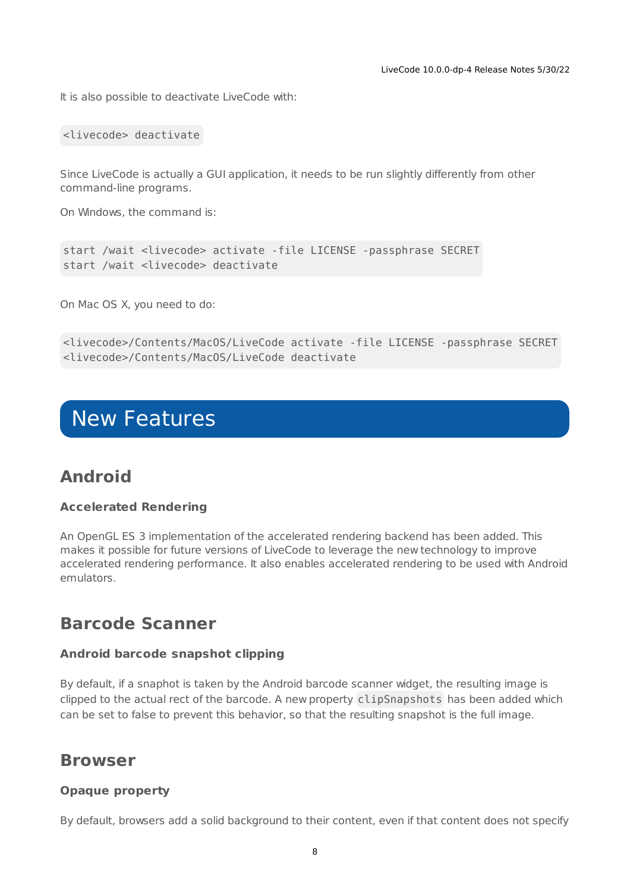It is also possible to deactivate LiveCode with:

<livecode> deactivate

Since LiveCode is actually a GUI application, it needs to be run slightly differently from other command-line programs.

On Windows, the command is:

```
start /wait <livecode> activate -file LICENSE -passphrase SECRET
start /wait <livecode> deactivate
```
On Mac OS X, you need to do:

```
<livecode>/Contents/MacOS/LiveCode activate -file LICENSE -passphrase SECRET
<livecode>/Contents/MacOS/LiveCode deactivate
```
# <span id="page-7-0"></span>New Features

### **Android**

### **Accelerated Rendering**

An OpenGL ES 3 implementation of the accelerated rendering backend has been added. This makes it possible for future versions of LiveCode to leverage the new technology to improve accelerated rendering performance. It also enables accelerated rendering to be used with Android emulators.

### <span id="page-7-1"></span>**Barcode Scanner**

#### **Android barcode snapshot clipping**

By default, if a snaphot is taken by the Android barcode scanner widget, the resulting image is clipped to the actual rect of the barcode. A new property clipSnapshots has been added which can be set to false to prevent this behavior, so that the resulting snapshot is the full image.

### <span id="page-7-2"></span>**Browser**

#### **Opaque property**

By default, browsers add a solid background to their content, even if that content does not specify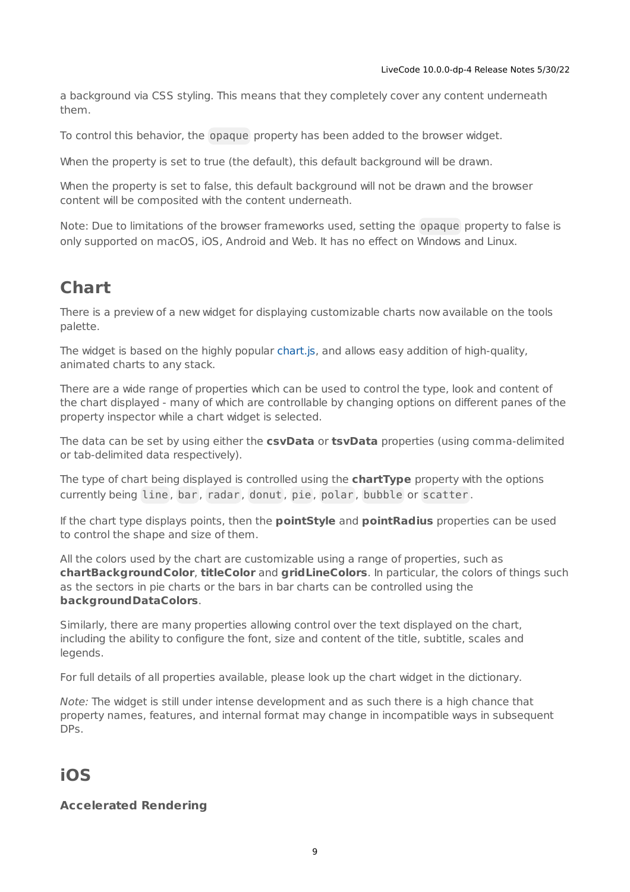a background via CSS styling. This means that they completely cover any content underneath them.

To control this behavior, the opaque property has been added to the browser widget.

When the property is set to true (the default), this default background will be drawn.

When the property is set to false, this default background will not be drawn and the browser content will be composited with the content underneath.

Note: Due to limitations of the browser frameworks used, setting the opaque property to false is only supported on macOS, iOS, Android and Web. It has no effect on Windows and Linux.

## <span id="page-8-0"></span>**Chart**

There is a preview of a new widget for displaying customizable charts now available on the tools palette.

The widget is based on the highly popular [chart.js](https://www.chartjs.org/), and allows easy addition of high-quality, animated charts to any stack.

There are a wide range of properties which can be used to control the type, look and content of the chart displayed - many of which are controllable by changing options on different panes of the property inspector while a chart widget is selected.

The data can be set by using either the **csvData** or **tsvData** properties (using comma-delimited or tab-delimited data respectively).

The type of chart being displayed is controlled using the **chartType** property with the options currently being line , bar , radar , donut , pie , polar , bubble or scatter .

If the chart type displays points, then the **pointStyle** and **pointRadius** properties can be used to control the shape and size of them.

All the colors used by the chart are customizable using a range of properties, such as **chartBackgroundColor**, **titleColor** and **gridLineColors**. In particular, the colors of things such as the sectors in pie charts or the bars in bar charts can be controlled using the **backgroundDataColors**.

Similarly, there are many properties allowing control over the text displayed on the chart, including the ability to configure the font, size and content of the title, subtitle, scales and legends.

For full details of all properties available, please look up the chart widget in the dictionary.

Note: The widget is still under intense development and as such there is a high chance that property names, features, and internal format may change in incompatible ways in subsequent DPs.

## **iOS**

### **Accelerated Rendering**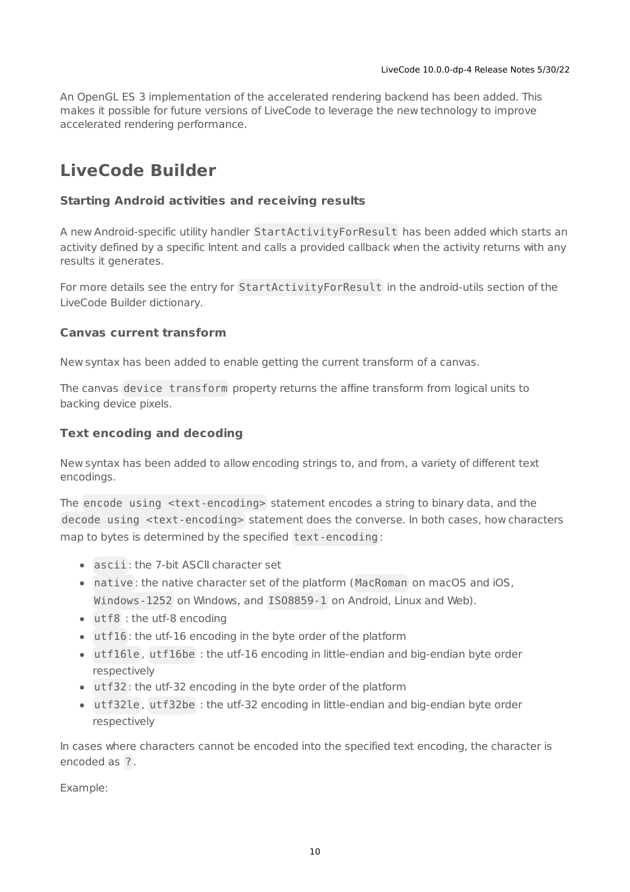An OpenGL ES 3 implementation of the accelerated rendering backend has been added. This makes it possible for future versions of LiveCode to leverage the new technology to improve accelerated rendering performance.

## <span id="page-9-0"></span>**LiveCode Builder**

### **Starting Android activities and receiving results**

A new Android-specific utility handler StartActivityForResult has been added which starts an activity defined by a specific Intent and calls a provided callback when the activity returns with any results it generates.

For more details see the entry for StartActivityForResult in the android-utils section of the LiveCode Builder dictionary.

### **Canvas current transform**

New syntax has been added to enable getting the current transform of a canvas.

The canvas device transform property returns the affine transform from logical units to backing device pixels.

### **Text encoding and decoding**

New syntax has been added to allow encoding strings to, and from, a variety of different text encodings.

The encode using <text-encoding> statement encodes a string to binary data, and the decode using <text-encoding> statement does the converse. In both cases, how characters map to bytes is determined by the specified text-encoding :

- ascii : the 7-bit ASCII character set
- native : the native character set of the platform ( MacRoman on macOS and iOS, Windows-1252 on Windows, and ISO8859-1 on Android, Linux and Web).
- utf8 : the utf-8 encoding
- utf16 : the utf-16 encoding in the byte order of the platform
- utf16le , utf16be : the utf-16 encoding in little-endian and big-endian byte order respectively
- utf32 : the utf-32 encoding in the byte order of the platform
- utf32le , utf32be : the utf-32 encoding in little-endian and big-endian byte order respectively

In cases where characters cannot be encoded into the specified text encoding, the character is encoded as ? .

Example: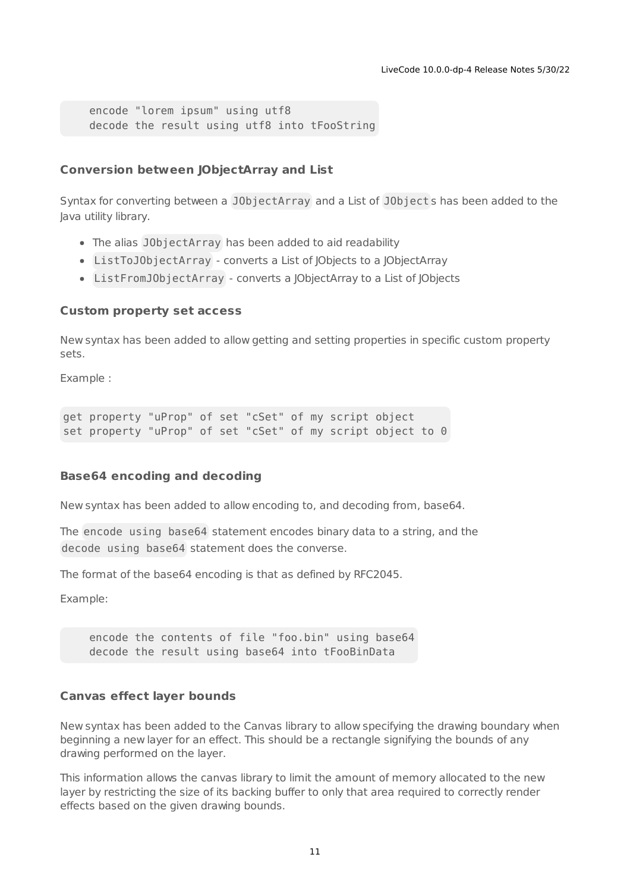encode "lorem ipsum" using utf8 decode the result using utf8 into tFooString

### **Conversion between JObjectArray and List**

Syntax for converting between a JObjectArray and a List of JObject s has been added to the Java utility library.

- The alias JObjectArray has been added to aid readability
- ListToJObjectArray converts a List of JObjects to a JObjectArray
- ListFromJObjectArray converts a JObjectArray to a List of JObjects

#### **Custom property set access**

New syntax has been added to allow getting and setting properties in specific custom property sets.

Example :

```
get property "uProp" of set "cSet" of my script object
set property "uProp" of set "cSet" of my script object to 0
```
#### **Base64 encoding and decoding**

New syntax has been added to allow encoding to, and decoding from, base64.

The encode using base64 statement encodes binary data to a string, and the decode using base64 statement does the converse.

The format of the base64 encoding is that as defined by RFC2045.

Example:

encode the contents of file "foo.bin" using base64 decode the result using base64 into tFooBinData

#### **Canvas effect layer bounds**

New syntax has been added to the Canvas library to allow specifying the drawing boundary when beginning a new layer for an effect. This should be a rectangle signifying the bounds of any drawing performed on the layer.

This information allows the canvas library to limit the amount of memory allocated to the new layer by restricting the size of its backing buffer to only that area required to correctly render effects based on the given drawing bounds.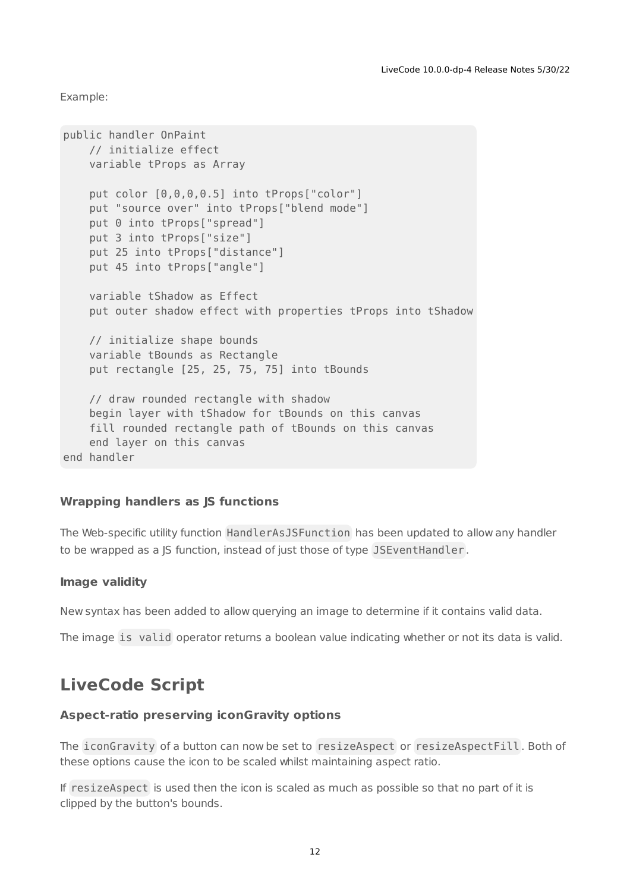Example:

```
public handler OnPaint
   // initialize effect
   variable tProps as Array
   put color [0,0,0,0.5] into tProps["color"]
   put "source over" into tProps["blend mode"]
   put 0 into tProps["spread"]
   put 3 into tProps["size"]
    put 25 into tProps["distance"]
   put 45 into tProps["angle"]
   variable tShadow as Effect
   put outer shadow effect with properties tProps into tShadow
   // initialize shape bounds
   variable tBounds as Rectangle
   put rectangle [25, 25, 75, 75] into tBounds
   // draw rounded rectangle with shadow
   begin layer with tShadow for tBounds on this canvas
    fill rounded rectangle path of tBounds on this canvas
    end layer on this canvas
end handler
```
### **Wrapping handlers as JS functions**

The Web-specific utility function HandlerAsJSFunction has been updated to allow any handler to be wrapped as a JS function, instead of just those of type JSEventHandler .

#### **Image validity**

New syntax has been added to allow querying an image to determine if it contains valid data.

The image is valid operator returns a boolean value indicating whether or not its data is valid.

### <span id="page-11-0"></span>**LiveCode Script**

#### **Aspect-ratio preserving iconGravity options**

The iconGravity of a button can now be set to resizeAspect or resizeAspectFill. Both of these options cause the icon to be scaled whilst maintaining aspect ratio.

If resizeAspect is used then the icon is scaled as much as possible so that no part of it is clipped by the button's bounds.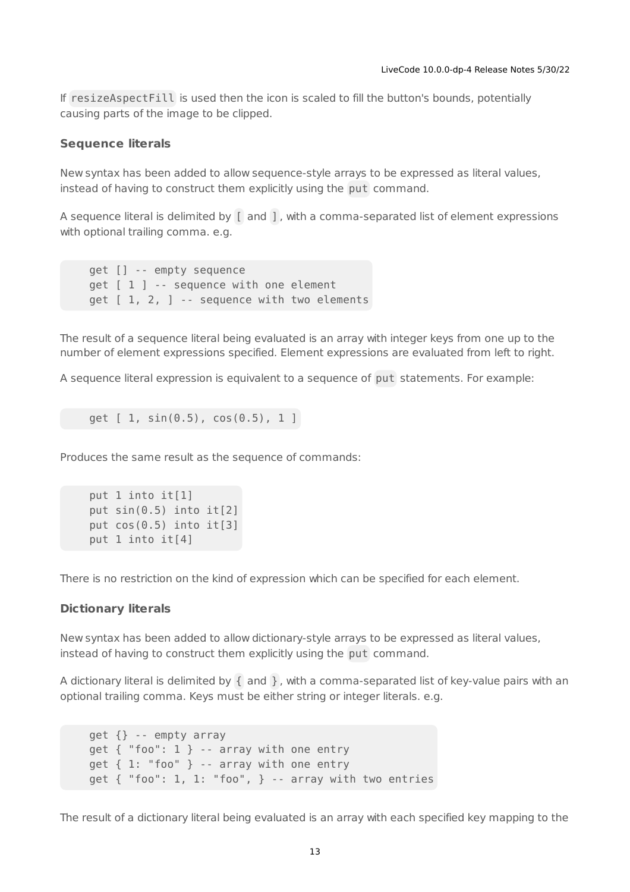If resizeAspectFill is used then the icon is scaled to fill the button's bounds, potentially causing parts of the image to be clipped.

#### **Sequence literals**

New syntax has been added to allow sequence-style arrays to be expressed as literal values, instead of having to construct them explicitly using the put command.

A sequence literal is delimited by [ and ] , with a comma-separated list of element expressions with optional trailing comma. e.g.

```
get [] -- empty sequence
get [ 1 ] -- sequence with one element
get [ 1, 2, ] -- sequence with two elements
```
The result of a sequence literal being evaluated is an array with integer keys from one up to the number of element expressions specified. Element expressions are evaluated from left to right.

A sequence literal expression is equivalent to a sequence of put statements. For example:

```
get [ 1, sin(0.5), cos(0.5), 1 ]
```
Produces the same result as the sequence of commands:

```
put 1 into it[1]
put sin(0.5) into it[2]
put cos(0.5) into it[3]
put 1 into it[4]
```
There is no restriction on the kind of expression which can be specified for each element.

#### **Dictionary literals**

New syntax has been added to allow dictionary-style arrays to be expressed as literal values, instead of having to construct them explicitly using the put command.

A dictionary literal is delimited by  $\{$  and  $\}$ , with a comma-separated list of key-value pairs with an optional trailing comma. Keys must be either string or integer literals. e.g.

get {} -- empty array get { "foo": 1 } -- array with one entry  $get \{ 1: "foo" \} -- array with one entry$ get { "foo": 1, 1: "foo", } -- array with two entries

The result of a dictionary literal being evaluated is an array with each specified key mapping to the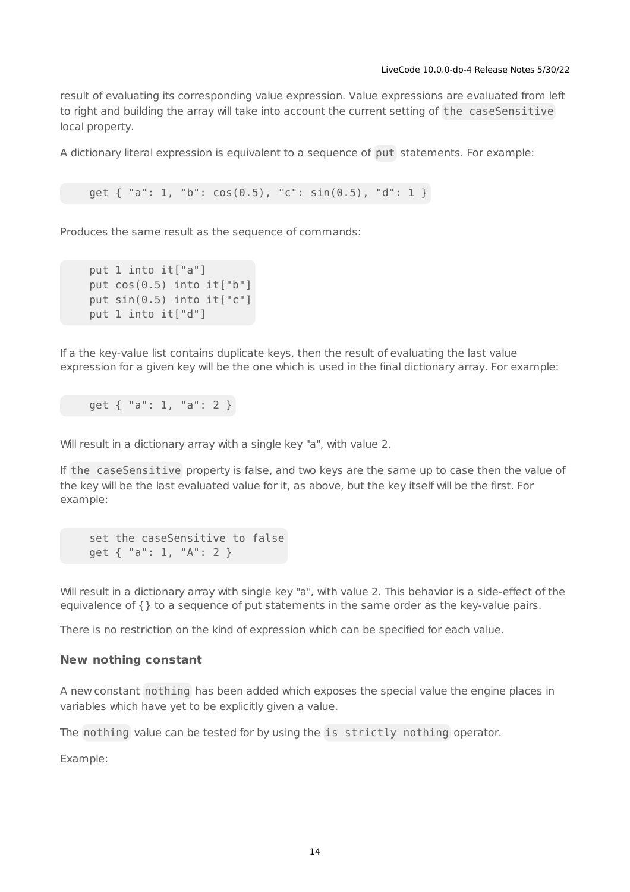result of evaluating its corresponding value expression. Value expressions are evaluated from left to right and building the array will take into account the current setting of the caseSensitive local property.

A dictionary literal expression is equivalent to a sequence of put statements. For example:

qet  $\{$  "a": 1, "b":  $cos(0.5)$ , "c":  $sin(0.5)$ , "d": 1 }

Produces the same result as the sequence of commands:

```
put 1 into it["a"]
put cos(0.5) into it["b"]
put sin(0.5) into it["c"]
put 1 into it["d"]
```
If a the key-value list contains duplicate keys, then the result of evaluating the last value expression for a given key will be the one which is used in the final dictionary array. For example:

get { "a": 1, "a": 2 }

Will result in a dictionary array with a single key "a", with value 2.

If the caseSensitive property is false, and two keys are the same up to case then the value of the key will be the last evaluated value for it, as above, but the key itself will be the first. For example:

set the caseSensitive to false get { "a": 1, "A": 2 }

Will result in a dictionary array with single key "a", with value 2. This behavior is a side-effect of the equivalence of {} to a sequence of put statements in the same order as the key-value pairs.

There is no restriction on the kind of expression which can be specified for each value.

#### **New nothing constant**

A new constant nothing has been added which exposes the special value the engine places in variables which have yet to be explicitly given a value.

The nothing value can be tested for by using the is strictly nothing operator.

Example: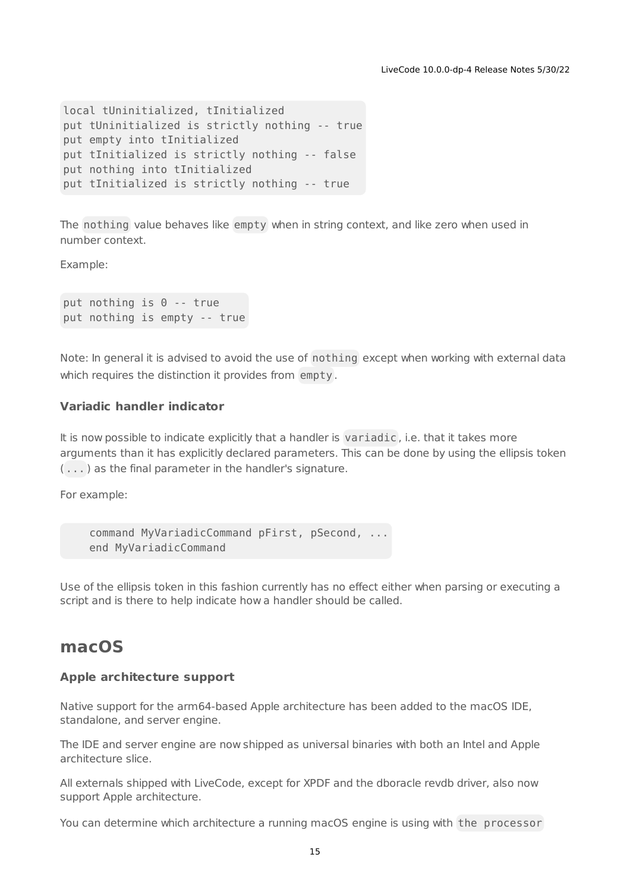```
local tUninitialized, tInitialized
put tUninitialized is strictly nothing -- true
put empty into tInitialized
put tInitialized is strictly nothing -- false
put nothing into tInitialized
put tInitialized is strictly nothing -- true
```
The nothing value behaves like empty when in string context, and like zero when used in number context.

Example:

put nothing is 0 -- true put nothing is empty -- true

Note: In general it is advised to avoid the use of nothing except when working with external data which requires the distinction it provides from empty .

### **Variadic handler indicator**

It is now possible to indicate explicitly that a handler is variadic , i.e. that it takes more arguments than it has explicitly declared parameters. This can be done by using the ellipsis token ( ... ) as the final parameter in the handler's signature.

For example:

```
command MyVariadicCommand pFirst, pSecond, ...
end MyVariadicCommand
```
Use of the ellipsis token in this fashion currently has no effect either when parsing or executing a script and is there to help indicate how a handler should be called.

### **macOS**

#### **Apple architecture support**

Native support for the arm64-based Apple architecture has been added to the macOS IDE, standalone, and server engine.

The IDE and server engine are now shipped as universal binaries with both an Intel and Apple architecture slice.

All externals shipped with LiveCode, except for XPDF and the dboracle revdb driver, also now support Apple architecture.

You can determine which architecture a running macOS engine is using with the processor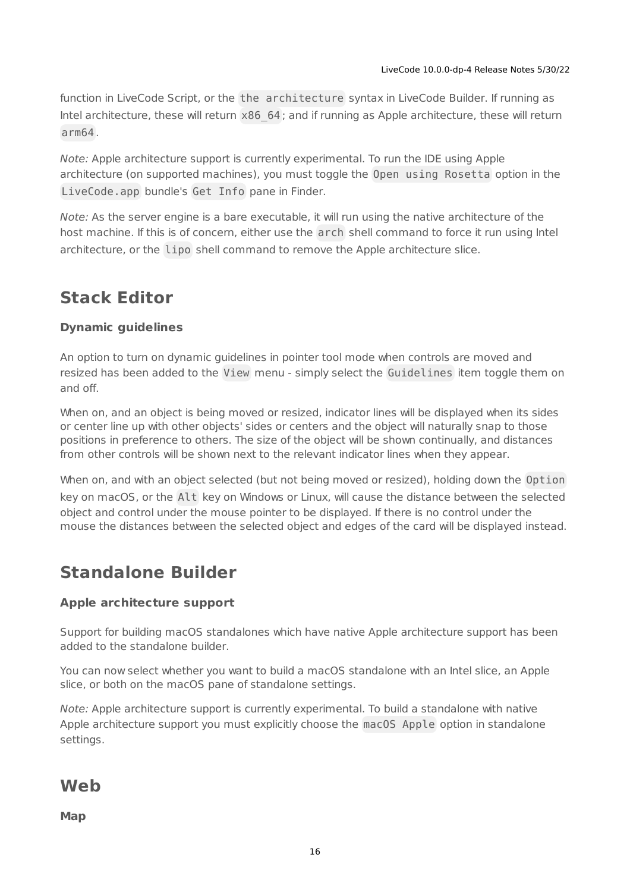function in LiveCode Script, or the the architecture syntax in LiveCode Builder. If running as Intel architecture, these will return x86\_64 ; and if running as Apple architecture, these will return arm64 .

Note: Apple architecture support is currently experimental. To run the IDE using Apple architecture (on supported machines), you must toggle the Open using Rosetta option in the LiveCode.app bundle's Get Info pane in Finder.

Note: As the server engine is a bare executable, it will run using the native architecture of the host machine. If this is of concern, either use the arch shell command to force it run using Intel architecture, or the lipo shell command to remove the Apple architecture slice.

## <span id="page-15-0"></span>**Stack Editor**

### **Dynamic guidelines**

An option to turn on dynamic guidelines in pointer tool mode when controls are moved and resized has been added to the View menu - simply select the Guidelines item toggle them on and off.

When on, and an object is being moved or resized, indicator lines will be displayed when its sides or center line up with other objects' sides or centers and the object will naturally snap to those positions in preference to others. The size of the object will be shown continually, and distances from other controls will be shown next to the relevant indicator lines when they appear.

When on, and with an object selected (but not being moved or resized), holding down the Option key on macOS, or the Alt key on Windows or Linux, will cause the distance between the selected object and control under the mouse pointer to be displayed. If there is no control under the mouse the distances between the selected object and edges of the card will be displayed instead.

# <span id="page-15-1"></span>**Standalone Builder**

### **Apple architecture support**

Support for building macOS standalones which have native Apple architecture support has been added to the standalone builder.

You can now select whether you want to build a macOS standalone with an Intel slice, an Apple slice, or both on the macOS pane of standalone settings.

Note: Apple architecture support is currently experimental. To build a standalone with native Apple architecture support you must explicitly choose the macOS Apple option in standalone settings.

**Web**

**Map**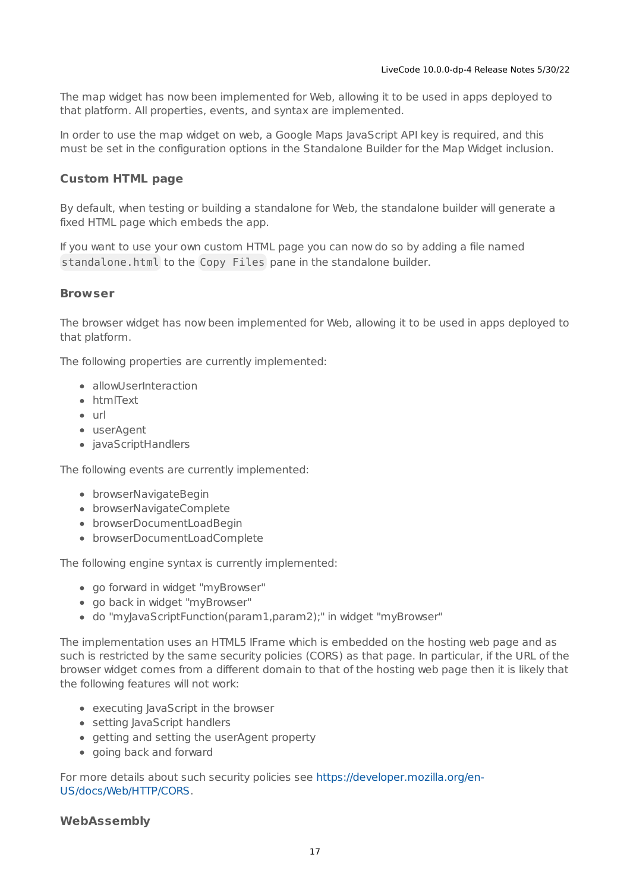The map widget has now been implemented for Web, allowing it to be used in apps deployed to that platform. All properties, events, and syntax are implemented.

In order to use the map widget on web, a Google Maps JavaScript API key is required, and this must be set in the configuration options in the Standalone Builder for the Map Widget inclusion.

### **Custom HTML page**

By default, when testing or building a standalone for Web, the standalone builder will generate a fixed HTML page which embeds the app.

If you want to use your own custom HTML page you can now do so by adding a file named standalone.html to the Copy Files pane in the standalone builder.

### **Browser**

The browser widget has now been implemented for Web, allowing it to be used in apps deployed to that platform.

The following properties are currently implemented:

- allowUserInteraction
- htmlText
- $\bullet$  url
- userAgent
- javaScriptHandlers

The following events are currently implemented:

- browserNavigateBegin
- browserNavigateComplete
- browserDocumentLoadBegin
- browserDocumentLoadComplete

The following engine syntax is currently implemented:

- go forward in widget "myBrowser"
- go back in widget "myBrowser"
- do "myJavaScriptFunction(param1,param2);" in widget "myBrowser"

The implementation uses an HTML5 IFrame which is embedded on the hosting web page and as such is restricted by the same security policies (CORS) as that page. In particular, if the URL of the browser widget comes from a different domain to that of the hosting web page then it is likely that the following features will not work:

- executing JavaScript in the browser
- setting JavaScript handlers
- getting and setting the userAgent property
- going back and forward

For more details about such security policies see [https://developer.mozilla.org/en-](https://developer.mozilla.org/en-US/docs/Web/HTTP/CORS)US/docs/Web/HTTP/CORS.

### **WebAssembly**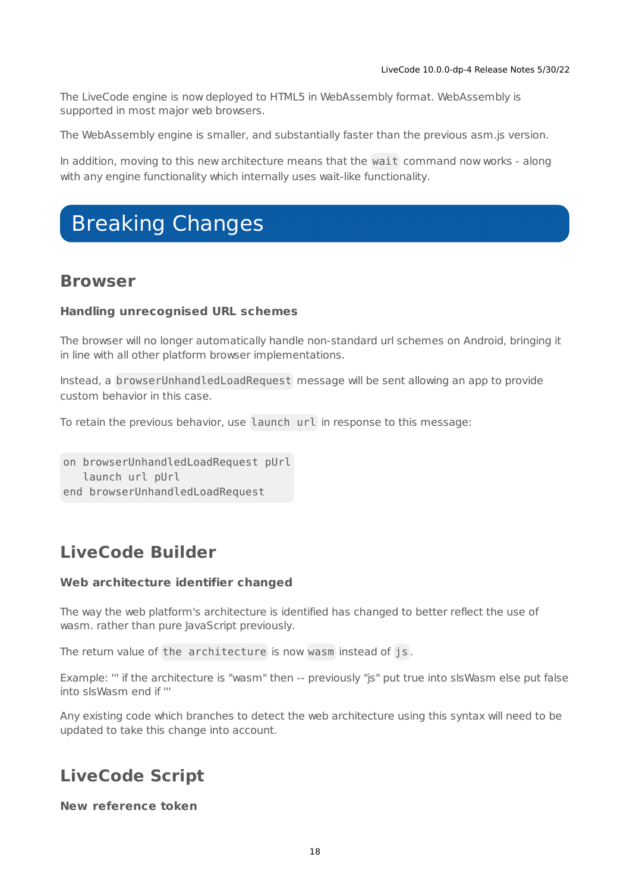The LiveCode engine is now deployed to HTML5 in WebAssembly format. WebAssembly is supported in most major web browsers.

The WebAssembly engine is smaller, and substantially faster than the previous asm.js version.

In addition, moving to this new architecture means that the wait command now works - along with any engine functionality which internally uses wait-like functionality.

# <span id="page-17-0"></span>Breaking Changes

### **Browser**

### **Handling unrecognised URL schemes**

The browser will no longer automatically handle non-standard url schemes on Android, bringing it in line with all other platform browser implementations.

Instead, a browserUnhandledLoadRequest message will be sent allowing an app to provide custom behavior in this case.

To retain the previous behavior, use launch url in response to this message:

on browserUnhandledLoadRequest pUrl launch url pUrl end browserUnhandledLoadRequest

## **LiveCode Builder**

### **Web architecture identifier changed**

The way the web platform's architecture is identified has changed to better reflect the use of wasm. rather than pure JavaScript previously.

The return value of the architecture is now wasm instead of js .

Example: ''' if the architecture is "wasm" then -- previously "js" put true into sIsWasm else put false into sIsWasm end if '''

Any existing code which branches to detect the web architecture using this syntax will need to be updated to take this change into account.

## **LiveCode Script**

### **New reference token**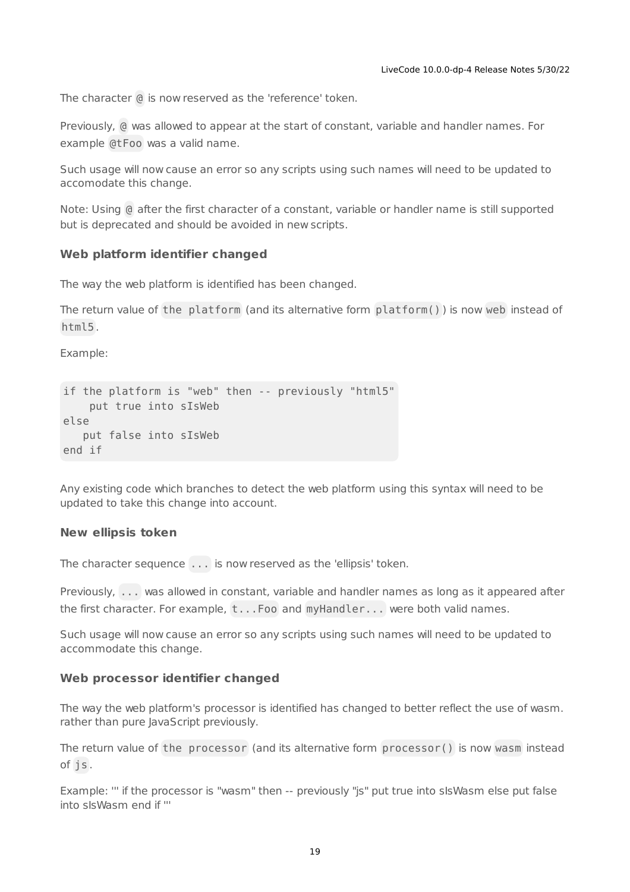The character @ is now reserved as the 'reference' token.

Previously, @ was allowed to appear at the start of constant, variable and handler names. For example @tFoo was a valid name.

Such usage will now cause an error so any scripts using such names will need to be updated to accomodate this change.

Note: Using @ after the first character of a constant, variable or handler name is still supported but is deprecated and should be avoided in new scripts.

#### **Web platform identifier changed**

The way the web platform is identified has been changed.

The return value of the platform (and its alternative form platform() ) is now web instead of html5 .

Example:

```
if the platform is "web" then -- previously "html5"
   put true into sIsWeb
else
  put false into sIsWeb
end if
```
Any existing code which branches to detect the web platform using this syntax will need to be updated to take this change into account.

#### **New ellipsis token**

The character sequence ... is now reserved as the 'ellipsis' token.

Previously, ... was allowed in constant, variable and handler names as long as it appeared after the first character. For example, t...Foo and myHandler... were both valid names.

Such usage will now cause an error so any scripts using such names will need to be updated to accommodate this change.

#### **Web processor identifier changed**

The way the web platform's processor is identified has changed to better reflect the use of wasm. rather than pure JavaScript previously.

The return value of the processor (and its alternative form processor() is now wasm instead of js .

Example: ''' if the processor is "wasm" then -- previously "js" put true into sIsWasm else put false into sIsWasm end if '''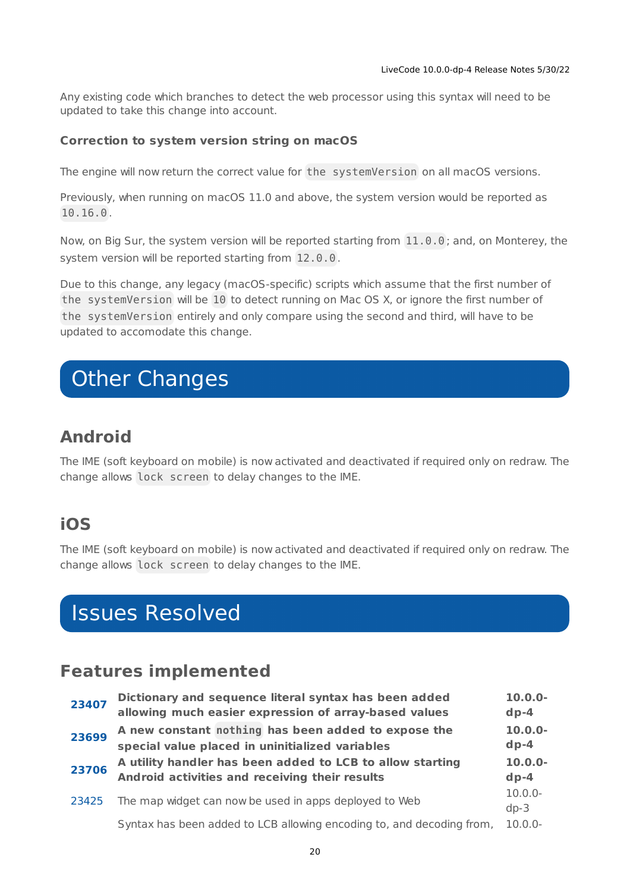Any existing code which branches to detect the web processor using this syntax will need to be updated to take this change into account.

### **Correction to system version string on macOS**

The engine will now return the correct value for the systemVersion on all macOS versions.

Previously, when running on macOS 11.0 and above, the system version would be reported as 10.16.0 .

Now, on Big Sur, the system version will be reported starting from 11.0.0 ; and, on Monterey, the system version will be reported starting from 12.0.0 .

Due to this change, any legacy (macOS-specific) scripts which assume that the first number of the systemVersion will be 10 to detect running on Mac OS X, or ignore the first number of the systemVersion entirely and only compare using the second and third, will have to be updated to accomodate this change.

# <span id="page-19-0"></span>Other Changes

## **Android**

The IME (soft keyboard on mobile) is now activated and deactivated if required only on redraw. The change allows lock screen to delay changes to the IME.

## **iOS**

The IME (soft keyboard on mobile) is now activated and deactivated if required only on redraw. The change allows lock screen to delay changes to the IME.

# <span id="page-19-1"></span>Issues Resolved

## <span id="page-19-2"></span>**Features implemented**

| 23407 | Dictionary and sequence literal syntax has been added<br>allowing much easier expression of array-based values | $10.0.0 -$<br>$dp-4$ |
|-------|----------------------------------------------------------------------------------------------------------------|----------------------|
| 23699 | A new constant nothing has been added to expose the<br>special value placed in uninitialized variables         | $10.0.0 -$<br>$dp-4$ |
| 23706 | A utility handler has been added to LCB to allow starting<br>Android activities and receiving their results    | $10.0.0 -$<br>$dp-4$ |
| 23425 | The map widget can now be used in apps deployed to Web                                                         | $10.0.0 -$<br>$dp-3$ |
|       | Syntax has been added to LCB allowing encoding to, and decoding from,                                          | $10.0.0 -$           |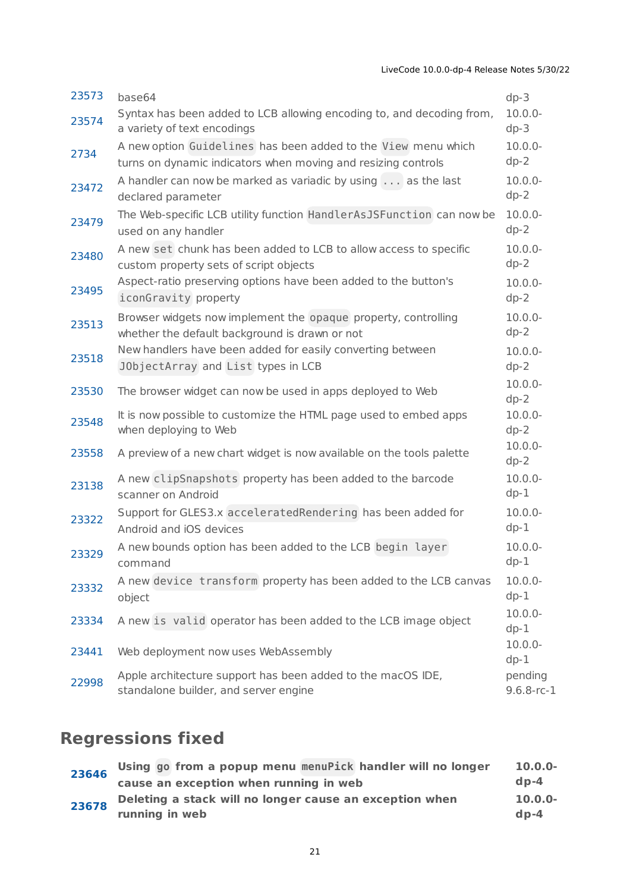| 23573 | base64                                                                                                                         | $dp-3$                   |
|-------|--------------------------------------------------------------------------------------------------------------------------------|--------------------------|
| 23574 | Syntax has been added to LCB allowing encoding to, and decoding from,<br>a variety of text encodings                           | $10.0.0 -$<br>$dp-3$     |
| 2734  | A new option Guidelines has been added to the View menu which<br>turns on dynamic indicators when moving and resizing controls | $10.0.0 -$<br>$dp-2$     |
| 23472 | A handler can now be marked as variadic by using as the last<br>declared parameter                                             | $10.0.0 -$<br>$dp-2$     |
| 23479 | The Web-specific LCB utility function HandlerAsJSFunction can now be<br>used on any handler                                    | $10.0.0 -$<br>$dp-2$     |
| 23480 | A new set chunk has been added to LCB to allow access to specific<br>custom property sets of script objects                    | $10.0.0 -$<br>$dp-2$     |
| 23495 | Aspect-ratio preserving options have been added to the button's<br>iconGravity property                                        | $10.0.0 -$<br>$dp-2$     |
| 23513 | Browser widgets now implement the opaque property, controlling<br>whether the default background is drawn or not               | $10.0.0 -$<br>$dp-2$     |
| 23518 | New handlers have been added for easily converting between<br>JObjectArray and List types in LCB                               | $10.0.0 -$<br>$dp-2$     |
| 23530 | The browser widget can now be used in apps deployed to Web                                                                     | $10.0.0 -$<br>$dp-2$     |
| 23548 | It is now possible to customize the HTML page used to embed apps<br>when deploying to Web                                      | $10.0.0 -$<br>$dp-2$     |
| 23558 | A preview of a new chart widget is now available on the tools palette                                                          | $10.0.0 -$<br>$dp-2$     |
| 23138 | A new clipSnapshots property has been added to the barcode<br>scanner on Android                                               | $10.0.0 -$<br>$dp-1$     |
| 23322 | Support for GLES3.x acceleratedRendering has been added for<br>Android and iOS devices                                         | $10.0.0 -$<br>$dp-1$     |
| 23329 | A new bounds option has been added to the LCB begin layer<br>command                                                           | $10.0.0 -$<br>$dp-1$     |
| 23332 | A new device transform property has been added to the LCB canvas<br>object                                                     | $10.0.0 -$<br>$dp-1$     |
| 23334 | A new is valid operator has been added to the LCB image object                                                                 | $10.0.0 -$<br>$dp-1$     |
| 23441 | Web deployment now uses WebAssembly                                                                                            | $10.0.0 -$<br>$dp-1$     |
| 22998 | Apple architecture support has been added to the macOS IDE,<br>standalone builder, and server engine                           | pending<br>$9.6.8$ -rc-1 |

# <span id="page-20-0"></span>**Regressions fixed**

| 23646 | Using go from a popup menu menuPick handler will no longer | $10.0.0 -$ |
|-------|------------------------------------------------------------|------------|
|       | cause an exception when running in web                     | $d_{D-4}$  |
| 23678 | Deleting a stack will no longer cause an exception when    | $10.0.0 -$ |
|       | running in web                                             | $d_{D-4}$  |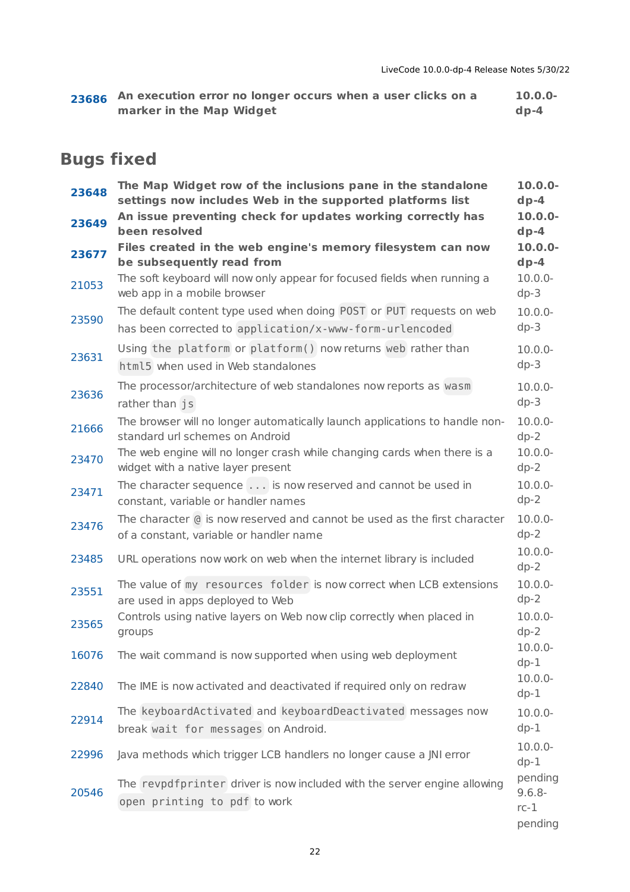| 23686 An execution error no longer occurs when a user clicks on a | $10.0.0 -$ |
|-------------------------------------------------------------------|------------|
| marker in the Map Widget                                          | $dp-4$     |

## <span id="page-21-0"></span>**Bugs fixed**

| 23648 | The Map Widget row of the inclusions pane in the standalone<br>settings now includes Web in the supported platforms list        | $10.0.0 -$<br>$dp-4$                      |
|-------|---------------------------------------------------------------------------------------------------------------------------------|-------------------------------------------|
| 23649 | An issue preventing check for updates working correctly has<br>been resolved                                                    | $10.0.0 -$<br>$dp-4$                      |
| 23677 | Files created in the web engine's memory filesystem can now<br>be subsequently read from                                        | $10.0.0 -$<br>$dp-4$                      |
| 21053 | The soft keyboard will now only appear for focused fields when running a<br>web app in a mobile browser                         | $10.0.0 -$<br>$dp-3$                      |
| 23590 | The default content type used when doing POST or PUT requests on web<br>has been corrected to application/x-www-form-urlencoded | $10.0.0 -$<br>$dp-3$                      |
| 23631 | Using the platform or platform() now returns web rather than<br>html5 when used in Web standalones                              | $10.0.0 -$<br>$dp-3$                      |
| 23636 | The processor/architecture of web standalones now reports as wasm<br>rather than js                                             | $10.0.0 -$<br>$dp-3$                      |
| 21666 | The browser will no longer automatically launch applications to handle non-<br>standard url schemes on Android                  | $10.0.0 -$<br>$dp-2$                      |
| 23470 | The web engine will no longer crash while changing cards when there is a<br>widget with a native layer present                  | $10.0.0 -$<br>$dp-2$                      |
| 23471 | The character sequence is now reserved and cannot be used in<br>constant, variable or handler names                             | $10.0.0 -$<br>$dp-2$                      |
| 23476 | The character @ is now reserved and cannot be used as the first character<br>of a constant, variable or handler name            | $10.0.0 -$<br>$dp-2$                      |
| 23485 | URL operations now work on web when the internet library is included                                                            | $10.0.0 -$<br>$dp-2$                      |
| 23551 | The value of my resources folder is now correct when LCB extensions<br>are used in apps deployed to Web                         | $10.0.0 -$<br>$dp-2$                      |
| 23565 | Controls using native layers on Web now clip correctly when placed in<br>groups                                                 | $10.0.0 -$<br>$dp-2$                      |
| 16076 | The wait command is now supported when using web deployment                                                                     | $10.0.0 -$<br>$dp-1$                      |
| 22840 | The IME is now activated and deactivated if required only on redraw                                                             | $10.0.0 -$<br>$dp-1$                      |
| 22914 | The keyboardActivated and keyboardDeactivated messages now<br>break wait for messages on Android.                               | $10.0.0 -$<br>$dp-1$                      |
| 22996 | Java methods which trigger LCB handlers no longer cause a JNI error                                                             | $10.0.0 -$<br>$dp-1$                      |
| 20546 | The revpdfprinter driver is now included with the server engine allowing<br>open printing to pdf to work                        | pending<br>$9.6.8 -$<br>$rc-1$<br>pending |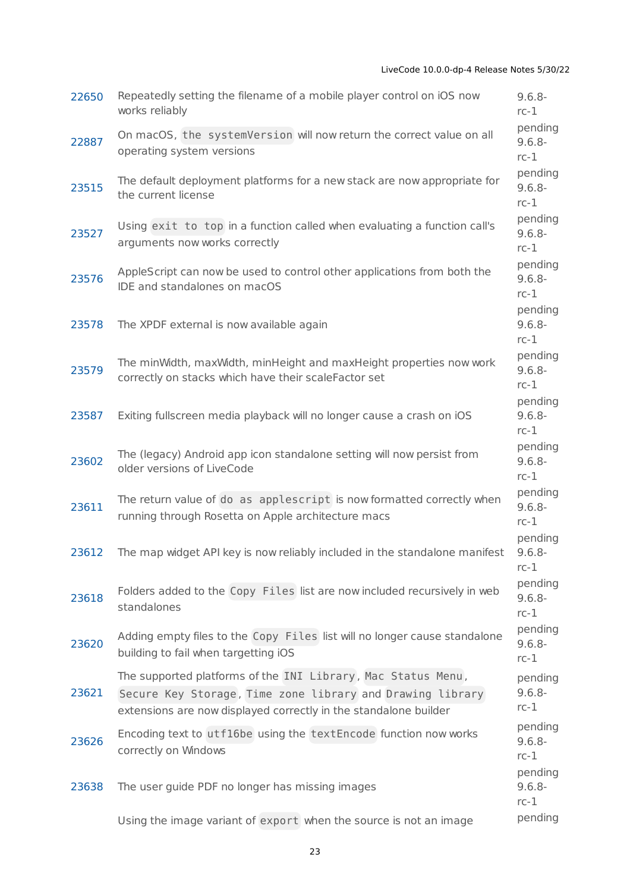| 22650 | Repeatedly setting the filename of a mobile player control on iOS now<br>works reliably                                                                                                       | $9.6.8 -$<br>$rc-1$            |
|-------|-----------------------------------------------------------------------------------------------------------------------------------------------------------------------------------------------|--------------------------------|
| 22887 | On macOS, the systemVersion will now return the correct value on all<br>operating system versions                                                                                             | pending<br>$9.6.8 -$<br>$rc-1$ |
| 23515 | The default deployment platforms for a new stack are now appropriate for<br>the current license                                                                                               | pending<br>$9.6.8 -$<br>$rc-1$ |
| 23527 | Using exit to top in a function called when evaluating a function call's<br>arguments now works correctly                                                                                     | pending<br>$9.6.8 -$<br>$rc-1$ |
| 23576 | AppleScript can now be used to control other applications from both the<br>IDE and standalones on macOS                                                                                       | pending<br>$9.6.8 -$<br>$rc-1$ |
| 23578 | The XPDF external is now available again                                                                                                                                                      | pending<br>$9.6.8 -$<br>$rc-1$ |
| 23579 | The minWidth, maxWidth, minHeight and maxHeight properties now work<br>correctly on stacks which have their scaleFactor set                                                                   | pending<br>$9.6.8 -$<br>$rc-1$ |
| 23587 | Exiting fullscreen media playback will no longer cause a crash on iOS                                                                                                                         | pending<br>$9.6.8 -$<br>$rc-1$ |
| 23602 | The (legacy) Android app icon standalone setting will now persist from<br>older versions of LiveCode                                                                                          | pending<br>$9.6.8 -$<br>$rc-1$ |
| 23611 | The return value of do as applescript is now formatted correctly when<br>running through Rosetta on Apple architecture macs                                                                   | pending<br>$9.6.8 -$<br>$rc-1$ |
| 23612 | The map widget API key is now reliably included in the standalone manifest                                                                                                                    | pending<br>$9.6.8 -$<br>$rc-1$ |
| 23618 | Folders added to the Copy Files list are now included recursively in web<br>standalones                                                                                                       | pending<br>$9.6.8 -$<br>$rc-1$ |
| 23620 | Adding empty files to the Copy Files list will no longer cause standalone<br>building to fail when targetting iOS                                                                             | pending<br>$9.6.8 -$<br>$rc-1$ |
| 23621 | The supported platforms of the INI Library, Mac Status Menu,<br>Secure Key Storage, Time zone library and Drawing library<br>extensions are now displayed correctly in the standalone builder | pending<br>$9.6.8 -$<br>$rc-1$ |
| 23626 | Encoding text to utf16be using the textEncode function now works<br>correctly on Windows                                                                                                      | pending<br>$9.6.8 -$<br>$rc-1$ |
| 23638 | The user guide PDF no longer has missing images                                                                                                                                               | pending<br>$9.6.8 -$<br>$rc-1$ |
|       | Using the image variant of export when the source is not an image                                                                                                                             | pending                        |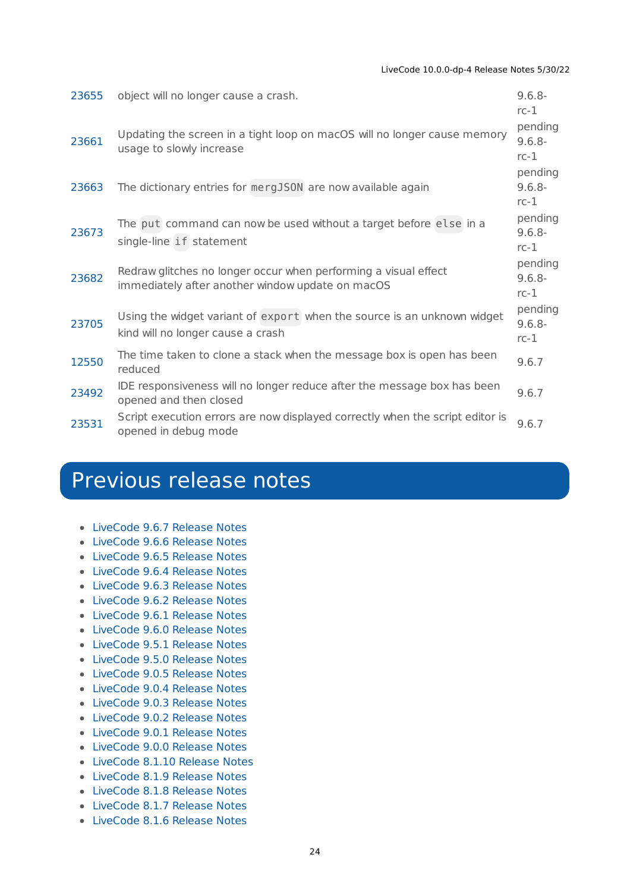#### LiveCode 10.0.0-dp-4 Release Notes 5/30/22

| 23655 | object will no longer cause a crash.                                                                                | $9.6.8 -$<br>$rc-1$            |
|-------|---------------------------------------------------------------------------------------------------------------------|--------------------------------|
| 23661 | Updating the screen in a tight loop on macOS will no longer cause memory<br>usage to slowly increase                | pending<br>$9.6.8 -$<br>$rc-1$ |
| 23663 | The dictionary entries for mergJS0N are now available again                                                         | pending<br>$9.6.8 -$<br>$rc-1$ |
| 23673 | The put command can now be used without a target before else in a<br>single-line if statement                       | pending<br>$9.6.8 -$<br>$rc-1$ |
| 23682 | Redraw glitches no longer occur when performing a visual effect<br>immediately after another window update on macOS | pending<br>$9.6.8 -$<br>$rc-1$ |
| 23705 | Using the widget variant of export when the source is an unknown widget<br>kind will no longer cause a crash        | pending<br>$9.6.8 -$<br>$rc-1$ |
| 12550 | The time taken to clone a stack when the message box is open has been<br>reduced                                    | 9.6.7                          |
| 23492 | IDE responsiveness will no longer reduce after the message box has been<br>opened and then closed                   | 9.6.7                          |
| 23531 | Script execution errors are now displayed correctly when the script editor is<br>opened in debug mode               | 9.6.7                          |

# <span id="page-23-0"></span>Previous release notes

- [LiveCode](https://downloads.livecode.com/livecode/9_6_7/LiveCodeNotes-9_6_7.pdf) 9.6.7 Release Notes
- [LiveCode](https://downloads.livecode.com/livecode/9_6_6/LiveCodeNotes-9_6_6.pdf) 9.6.6 Release Notes
- [LiveCode](https://downloads.livecode.com/livecode/9_6_5/LiveCodeNotes-9_6_5.pdf) 9.6.5 Release Notes
- [LiveCode](https://downloads.livecode.com/livecode/9_6_4/LiveCodeNotes-9_6_4.pdf) 9.6.4 Release Notes
- [LiveCode](https://downloads.livecode.com/livecode/9_6_3/LiveCodeNotes-9_6_3.pdf) 9.6.3 Release Notes
- [LiveCode](https://downloads.livecode.com/livecode/9_6_2/LiveCodeNotes-9_6_2.pdf) 9.6.2 Release Notes
- [LiveCode](https://downloads.livecode.com/livecode/9_6_1/LiveCodeNotes-9_6_1.pdf) 9.6.1 Release Notes
- [LiveCode](https://downloads.livecode.com/livecode/9_6_0/LiveCodeNotes-9_6_0.pdf) 9.6.0 Release Notes
- [LiveCode](https://downloads.livecode.com/livecode/9_5_1/LiveCodeNotes-9_5_1.pdf) 9.5.1 Release Notes
- [LiveCode](https://downloads.livecode.com/livecode/9_5_0/LiveCodeNotes-9_5_0.pdf) 9.5.0 Release Notes
- [LiveCode](https://downloads.livecode.com/livecode/9_0_5/LiveCodeNotes-9_0_5.pdf) 9.0.5 Release Notes
- [LiveCode](https://downloads.livecode.com/livecode/9_0_4/LiveCodeNotes-9_0_4.pdf) 9.0.4 Release Notes
- [LiveCode](https://downloads.livecode.com/livecode/9_0_3/LiveCodeNotes-9_0_3.pdf) 9.0.3 Release Notes
- [LiveCode](https://downloads.livecode.com/livecode/9_0_2/LiveCodeNotes-9_0_2.pdf) 9.0.2 Release Notes
- [LiveCode](https://downloads.livecode.com/livecode/9_0_1/LiveCodeNotes-9_0_1.pdf) 9.0.1 Release Notes
- [LiveCode](https://downloads.livecode.com/livecode/9_0_0/LiveCodeNotes-9_0_0.pdf) 9.0.0 Release Notes
- [LiveCode](https://downloads.livecode.com/livecode/8_1_10/LiveCodeNotes-8_1_10.pdf) 8.1.10 Release Notes
- [LiveCode](https://downloads.livecode.com/livecode/8_1_9/LiveCodeNotes-8_1_9.pdf) 8.1.9 Release Notes
- [LiveCode](https://downloads.livecode.com/livecode/8_1_8/LiveCodeNotes-8_1_8.pdf) 8.1.8 Release Notes
- [LiveCode](https://downloads.livecode.com/livecode/8_1_7/LiveCodeNotes-8_1_7.pdf) 8.1.7 Release Notes
- [LiveCode](https://downloads.livecode.com/livecode/8_1_6/LiveCodeNotes-8_1_6.pdf) 8.1.6 Release Notes